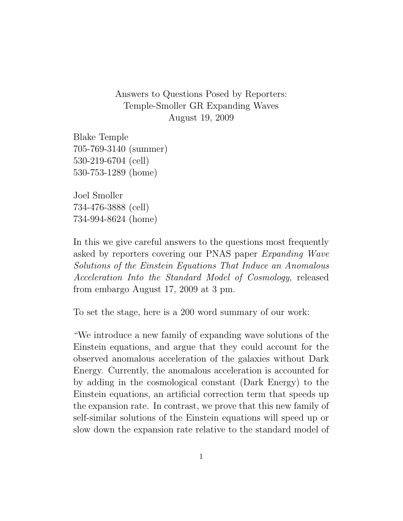Answers to Questions Posed by Reporters: Temple-Smoller GR Expanding Waves August 19, 2009

Blake Temple 705-769-3140 (summer) 530-219-6704 (cell) 530-753-1289 (home)

Joel Smoller 734-476-3888 (cell) 734-994-8624 (home)

In this we give careful answers to the questions most frequently asked by reporters covering our PNAS paper *Expanding Wave Solutions of the Einstein Equations That Induce an Anomalous Acceleration Into the Standard Model of Cosmology*, released from embargo August 17, 2009 at 3 pm.

To set the stage, here is a 200 word summary of our work:

"We introduce a new family of expanding wave solutions of the Einstein equations, and argue that they could account for the observed anomalous acceleration of the galaxies without Dark Energy. Currently, the anomalous acceleration is accounted for by adding in the cosmological constant (Dark Energy) to the Einstein equations, an artificial correction term that speeds up the expansion rate. In contrast, we prove that this new family of self-similar solutions of the Einstein equations will speed up or slow down the expansion rate relative to the standard model of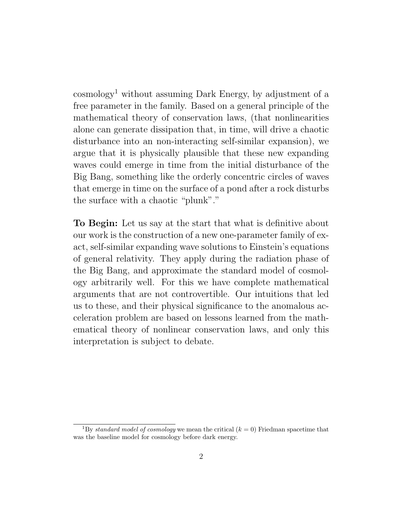$\cosmology<sup>1</sup>$  without assuming Dark Energy, by adjustment of a free parameter in the family. Based on a general principle of the mathematical theory of conservation laws, (that nonlinearities alone can generate dissipation that, in time, will drive a chaotic disturbance into an non-interacting self-similar expansion), we argue that it is physically plausible that these new expanding waves could emerge in time from the initial disturbance of the Big Bang, something like the orderly concentric circles of waves that emerge in time on the surface of a pond after a rock disturbs the surface with a chaotic "plunk"."

To Begin: Let us say at the start that what is definitive about our work is the construction of a new one-parameter family of exact, self-similar expanding wave solutions to Einstein's equations of general relativity. They apply during the radiation phase of the Big Bang, and approximate the standard model of cosmology arbitrarily well. For this we have complete mathematical arguments that are not controvertible. Our intuitions that led us to these, and their physical significance to the anomalous acceleration problem are based on lessons learned from the mathematical theory of nonlinear conservation laws, and only this interpretation is subject to debate.

<sup>&</sup>lt;sup>1</sup>By *standard model of cosmology* we mean the critical  $(k = 0)$  Friedman spacetime that was the baseline model for cosmology before dark energy.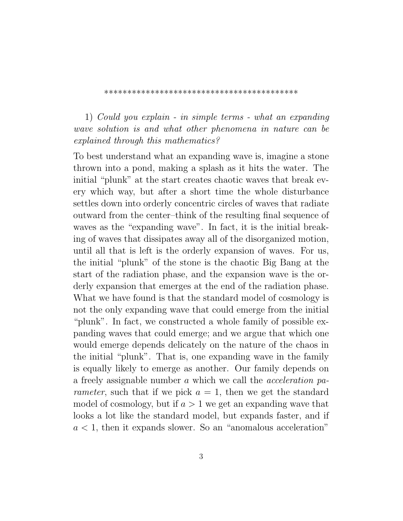#### \*\*\*\*\*\*\*\*\*\*\*\*\*\*\*\*\*\*\*\*\*\*\*\*\*\*\*\*\*\*\*\*\*\*\*\*\*\*\*\*\*\*

# 1) *Could you explain - in simple terms - what an expanding wave solution is and what other phenomena in nature can be explained through this mathematics?*

To best understand what an expanding wave is, imagine a stone thrown into a pond, making a splash as it hits the water. The initial "plunk" at the start creates chaotic waves that break every which way, but after a short time the whole disturbance settles down into orderly concentric circles of waves that radiate outward from the center–think of the resulting final sequence of waves as the "expanding wave". In fact, it is the initial breaking of waves that dissipates away all of the disorganized motion, until all that is left is the orderly expansion of waves. For us, the initial "plunk" of the stone is the chaotic Big Bang at the start of the radiation phase, and the expansion wave is the orderly expansion that emerges at the end of the radiation phase. What we have found is that the standard model of cosmology is not the only expanding wave that could emerge from the initial "plunk". In fact, we constructed a whole family of possible expanding waves that could emerge; and we argue that which one would emerge depends delicately on the nature of the chaos in the initial "plunk". That is, one expanding wave in the family is equally likely to emerge as another. Our family depends on a freely assignable number a which we call the *acceleration parameter*, such that if we pick  $a = 1$ , then we get the standard model of cosmology, but if  $a > 1$  we get an expanding wave that looks a lot like the standard model, but expands faster, and if  $a < 1$ , then it expands slower. So an "anomalous acceleration"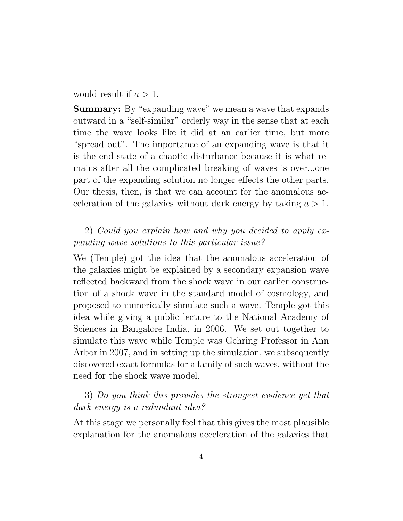would result if  $a > 1$ .

Summary: By "expanding wave" we mean a wave that expands outward in a "self-similar" orderly way in the sense that at each time the wave looks like it did at an earlier time, but more "spread out". The importance of an expanding wave is that it is the end state of a chaotic disturbance because it is what remains after all the complicated breaking of waves is over...one part of the expanding solution no longer effects the other parts. Our thesis, then, is that we can account for the anomalous acceleration of the galaxies without dark energy by taking  $a > 1$ .

### 2) *Could you explain how and why you decided to apply expanding wave solutions to this particular issue?*

We (Temple) got the idea that the anomalous acceleration of the galaxies might be explained by a secondary expansion wave reflected backward from the shock wave in our earlier construction of a shock wave in the standard model of cosmology, and proposed to numerically simulate such a wave. Temple got this idea while giving a public lecture to the National Academy of Sciences in Bangalore India, in 2006. We set out together to simulate this wave while Temple was Gehring Professor in Ann Arbor in 2007, and in setting up the simulation, we subsequently discovered exact formulas for a family of such waves, without the need for the shock wave model.

### 3) *Do you think this provides the strongest evidence yet that dark energy is a redundant idea?*

At this stage we personally feel that this gives the most plausible explanation for the anomalous acceleration of the galaxies that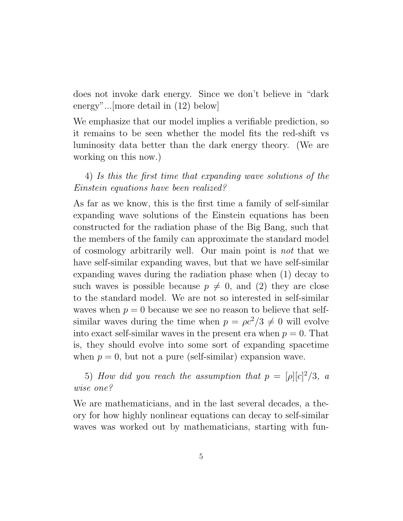does not invoke dark energy. Since we don't believe in "dark energy"...[more detail in (12) below]

We emphasize that our model implies a verifiable prediction, so it remains to be seen whether the model fits the red-shift vs luminosity data better than the dark energy theory. (We are working on this now.)

4) *Is this the first time that expanding wave solutions of the Einstein equations have been realized?*

As far as we know, this is the first time a family of self-similar expanding wave solutions of the Einstein equations has been constructed for the radiation phase of the Big Bang, such that the members of the family can approximate the standard model of cosmology arbitrarily well. Our main point is *not* that we have self-similar expanding waves, but that we have self-similar expanding waves during the radiation phase when (1) decay to such waves is possible because  $p \neq 0$ , and (2) they are close to the standard model. We are not so interested in self-similar waves when  $p = 0$  because we see no reason to believe that selfsimilar waves during the time when  $p = \rho c^2/3 \neq 0$  will evolve into exact self-similar waves in the present era when  $p = 0$ . That is, they should evolve into some sort of expanding spacetime when  $p = 0$ , but not a pure (self-similar) expansion wave.

5) *How did you reach the assumption that*  $p = [\rho][c]^2/3$ , a *wise one?*

We are mathematicians, and in the last several decades, a theory for how highly nonlinear equations can decay to self-similar waves was worked out by mathematicians, starting with fun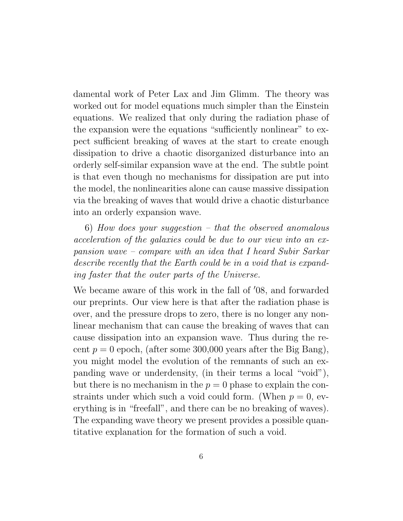damental work of Peter Lax and Jim Glimm. The theory was worked out for model equations much simpler than the Einstein equations. We realized that only during the radiation phase of the expansion were the equations "sufficiently nonlinear" to expect sufficient breaking of waves at the start to create enough dissipation to drive a chaotic disorganized disturbance into an orderly self-similar expansion wave at the end. The subtle point is that even though no mechanisms for dissipation are put into the model, the nonlinearities alone can cause massive dissipation via the breaking of waves that would drive a chaotic disturbance into an orderly expansion wave.

6) *How does your suggestion – that the observed anomalous acceleration of the galaxies could be due to our view into an expansion wave – compare with an idea that I heard Subir Sarkar describe recently that the Earth could be in a void that is expanding faster that the outer parts of the Universe.*

We became aware of this work in the fall of  $\ell$ 08, and forwarded our preprints. Our view here is that after the radiation phase is over, and the pressure drops to zero, there is no longer any nonlinear mechanism that can cause the breaking of waves that can cause dissipation into an expansion wave. Thus during the recent  $p = 0$  epoch, (after some 300,000 years after the Big Bang), you might model the evolution of the remnants of such an expanding wave or underdensity, (in their terms a local "void"), but there is no mechanism in the  $p = 0$  phase to explain the constraints under which such a void could form. (When  $p = 0$ , everything is in "freefall", and there can be no breaking of waves). The expanding wave theory we present provides a possible quantitative explanation for the formation of such a void.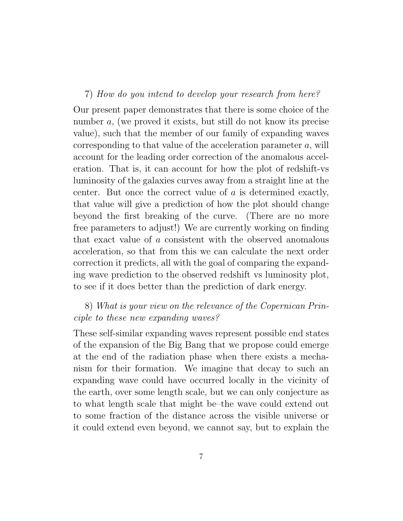#### 7) *How do you intend to develop your research from here?*

Our present paper demonstrates that there is some choice of the number a, (we proved it exists, but still do not know its precise value), such that the member of our family of expanding waves corresponding to that value of the acceleration parameter a, will account for the leading order correction of the anomalous acceleration. That is, it can account for how the plot of redshift-vs luminosity of the galaxies curves away from a straight line at the center. But once the correct value of a is determined exactly, that value will give a prediction of how the plot should change beyond the first breaking of the curve. (There are no more free parameters to adjust!) We are currently working on finding that exact value of a consistent with the observed anomalous acceleration, so that from this we can calculate the next order correction it predicts, all with the goal of comparing the expanding wave prediction to the observed redshift vs luminosity plot, to see if it does better than the prediction of dark energy.

### 8) *What is your view on the relevance of the Copernican Principle to these new expanding waves?*

These self-similar expanding waves represent possible end states of the expansion of the Big Bang that we propose could emerge at the end of the radiation phase when there exists a mechanism for their formation. We imagine that decay to such an expanding wave could have occurred locally in the vicinity of the earth, over some length scale, but we can only conjecture as to what length scale that might be–the wave could extend out to some fraction of the distance across the visible universe or it could extend even beyond, we cannot say, but to explain the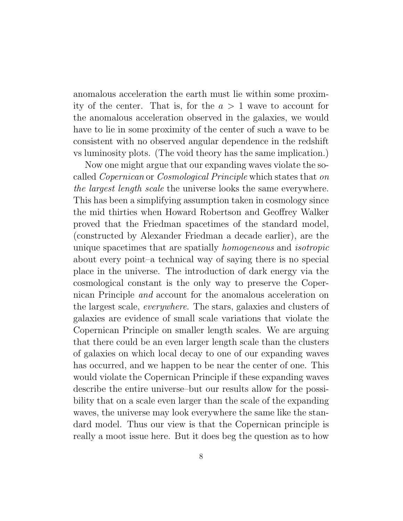anomalous acceleration the earth must lie within some proximity of the center. That is, for the  $a > 1$  wave to account for the anomalous acceleration observed in the galaxies, we would have to lie in some proximity of the center of such a wave to be consistent with no observed angular dependence in the redshift vs luminosity plots. (The void theory has the same implication.)

Now one might argue that our expanding waves violate the socalled *Copernican* or *Cosmological Principle* which states that *on the largest length scale* the universe looks the same everywhere. This has been a simplifying assumption taken in cosmology since the mid thirties when Howard Robertson and Geoffrey Walker proved that the Friedman spacetimes of the standard model, (constructed by Alexander Friedman a decade earlier), are the unique spacetimes that are spatially *homogeneous* and *isotropic* about every point–a technical way of saying there is no special place in the universe. The introduction of dark energy via the cosmological constant is the only way to preserve the Copernican Principle *and* account for the anomalous acceleration on the largest scale, *everywhere*. The stars, galaxies and clusters of galaxies are evidence of small scale variations that violate the Copernican Principle on smaller length scales. We are arguing that there could be an even larger length scale than the clusters of galaxies on which local decay to one of our expanding waves has occurred, and we happen to be near the center of one. This would violate the Copernican Principle if these expanding waves describe the entire universe–but our results allow for the possibility that on a scale even larger than the scale of the expanding waves, the universe may look everywhere the same like the standard model. Thus our view is that the Copernican principle is really a moot issue here. But it does beg the question as to how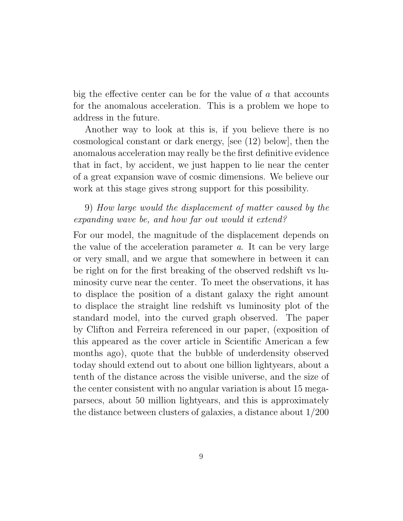big the effective center can be for the value of a that accounts for the anomalous acceleration. This is a problem we hope to address in the future.

Another way to look at this is, if you believe there is no cosmological constant or dark energy, [see (12) below], then the anomalous acceleration may really be the first definitive evidence that in fact, by accident, we just happen to lie near the center of a great expansion wave of cosmic dimensions. We believe our work at this stage gives strong support for this possibility.

### 9) *How large would the displacement of matter caused by the expanding wave be, and how far out would it extend?*

For our model, the magnitude of the displacement depends on the value of the acceleration parameter *a*. It can be very large or very small, and we argue that somewhere in between it can be right on for the first breaking of the observed redshift vs luminosity curve near the center. To meet the observations, it has to displace the position of a distant galaxy the right amount to displace the straight line redshift vs luminosity plot of the standard model, into the curved graph observed. The paper by Clifton and Ferreira referenced in our paper, (exposition of this appeared as the cover article in Scientific American a few months ago), quote that the bubble of underdensity observed today should extend out to about one billion lightyears, about a tenth of the distance across the visible universe, and the size of the center consistent with no angular variation is about 15 megaparsecs, about 50 million lightyears, and this is approximately the distance between clusters of galaxies, a distance about 1/200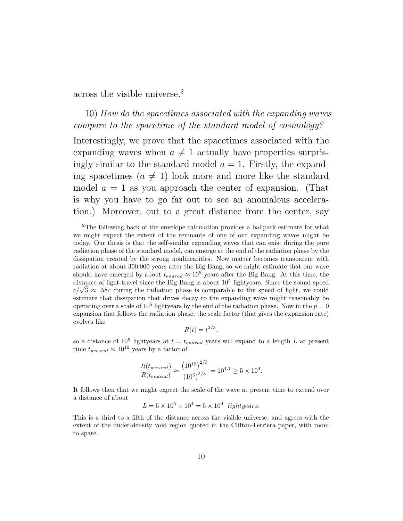across the visible universe.<sup>2</sup>

#### 10) *How do the spacetimes associated with the expanding waves compare to the spacetime of the standard model of cosmology?*

Interestingly, we prove that the spacetimes associated with the expanding waves when  $a \neq 1$  actually have properties surprisingly similar to the standard model  $a = 1$ . Firstly, the expanding spacetimes  $(a \neq 1)$  look more and more like the standard model  $a = 1$  as you approach the center of expansion. (That is why you have to go far out to see an anomalous acceleration.) Moreover, out to a great distance from the center, say

$$
R(t) = t^{2/3},
$$

so a distance of  $10^5$  lightyears at  $t = t_{endrad}$  years will expand to a length L at present time  $t_{present} \approx 10^{10}$  years by a factor of

$$
\frac{R(t_{present})}{R(t_{endrad})} \approx \frac{\left(10^{10}\right)^{2/3}}{\left(10^5\right)^{2/3}} = 10^{4.7} \ge 5 \times 10^4.
$$

It follows then that we might expect the scale of the wave at present time to extend over a distance of about

$$
L = 5 \times 10^5 \times 10^4 = 5 \times 10^9
$$
 lightyears.

This is a third to a fifth of the distance across the visible universe, and agrees with the extent of the under-density void region quoted in the Clifton-Ferriera paper, with room to spare.

<sup>2</sup>The following back of the envelope calculation provides a ballpark estimate for what we might expect the extent of the remnants of one of our expanding waves might be today. Our thesis is that the self-similar expanding waves that can exist during the pure radiation phase of the standard model, can emerge at the end of the radiation phase by the dissipation created by the strong nonlinearities. Now matter becomes transparent with radiation at about 300,000 years after the Big Bang, so we might estimate that our wave should have emerged by about  $t_{endrad} \approx 10^5$  years after the Big Bang. At this time, the distance of light-travel since the Big Bang is about  $10<sup>5</sup>$  lightyears. Since the sound speed  $c/\sqrt{3} \approx .58c$  during the radiation phase is comparable to the speed of light, we could estimate that dissipation that drives decay to the expanding wave might reasonably be operating over a scale of  $10^5$  lightyears by the end of the radiation phase. Now in the  $p = 0$ expansion that follows the radiation phase, the scale factor (that gives the expansion rate) evolves like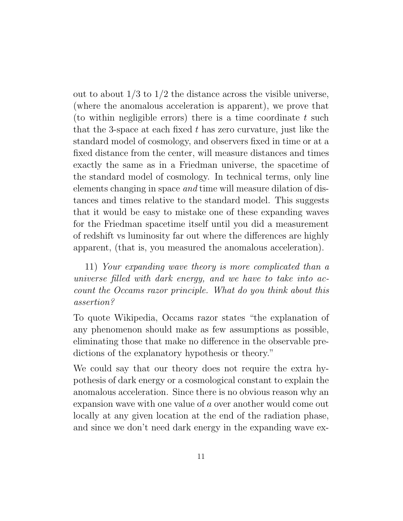out to about 1/3 to 1/2 the distance across the visible universe, (where the anomalous acceleration is apparent), we prove that (to within negligible errors) there is a time coordinate  $t$  such that the 3-space at each fixed  $t$  has zero curvature, just like the standard model of cosmology, and observers fixed in time or at a fixed distance from the center, will measure distances and times exactly the same as in a Friedman universe, the spacetime of the standard model of cosmology. In technical terms, only line elements changing in space *and* time will measure dilation of distances and times relative to the standard model. This suggests that it would be easy to mistake one of these expanding waves for the Friedman spacetime itself until you did a measurement of redshift vs luminosity far out where the differences are highly apparent, (that is, you measured the anomalous acceleration).

11) *Your expanding wave theory is more complicated than a universe filled with dark energy, and we have to take into account the Occams razor principle. What do you think about this assertion?*

To quote Wikipedia, Occams razor states "the explanation of any phenomenon should make as few assumptions as possible, eliminating those that make no difference in the observable predictions of the explanatory hypothesis or theory."

We could say that our theory does not require the extra hypothesis of dark energy or a cosmological constant to explain the anomalous acceleration. Since there is no obvious reason why an expansion wave with one value of a over another would come out locally at any given location at the end of the radiation phase, and since we don't need dark energy in the expanding wave ex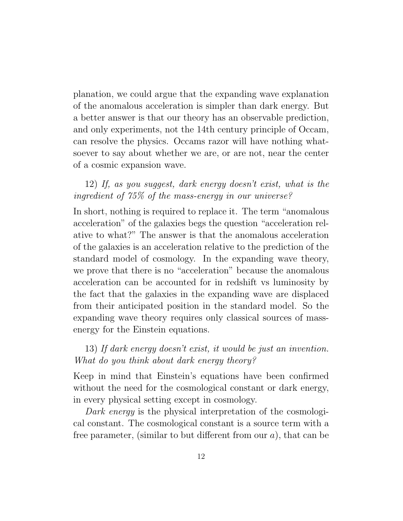planation, we could argue that the expanding wave explanation of the anomalous acceleration is simpler than dark energy. But a better answer is that our theory has an observable prediction, and only experiments, not the 14th century principle of Occam, can resolve the physics. Occams razor will have nothing whatsoever to say about whether we are, or are not, near the center of a cosmic expansion wave.

# 12) *If, as you suggest, dark energy doesn't exist, what is the ingredient of 75% of the mass-energy in our universe?*

In short, nothing is required to replace it. The term "anomalous acceleration" of the galaxies begs the question "acceleration relative to what?" The answer is that the anomalous acceleration of the galaxies is an acceleration relative to the prediction of the standard model of cosmology. In the expanding wave theory, we prove that there is no "acceleration" because the anomalous acceleration can be accounted for in redshift vs luminosity by the fact that the galaxies in the expanding wave are displaced from their anticipated position in the standard model. So the expanding wave theory requires only classical sources of massenergy for the Einstein equations.

### 13) *If dark energy doesn't exist, it would be just an invention. What do you think about dark energy theory?*

Keep in mind that Einstein's equations have been confirmed without the need for the cosmological constant or dark energy, in every physical setting except in cosmology.

*Dark energy* is the physical interpretation of the cosmological constant. The cosmological constant is a source term with a free parameter, (similar to but different from our  $a$ ), that can be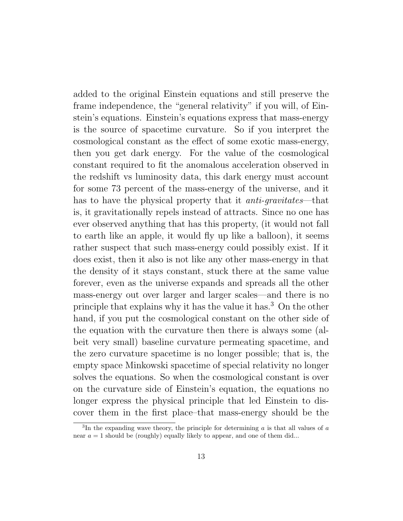added to the original Einstein equations and still preserve the frame independence, the "general relativity" if you will, of Einstein's equations. Einstein's equations express that mass-energy is the source of spacetime curvature. So if you interpret the cosmological constant as the effect of some exotic mass-energy, then you get dark energy. For the value of the cosmological constant required to fit the anomalous acceleration observed in the redshift vs luminosity data, this dark energy must account for some 73 percent of the mass-energy of the universe, and it has to have the physical property that it *anti-gravitates*—that is, it gravitationally repels instead of attracts. Since no one has ever observed anything that has this property, (it would not fall to earth like an apple, it would fly up like a balloon), it seems rather suspect that such mass-energy could possibly exist. If it does exist, then it also is not like any other mass-energy in that the density of it stays constant, stuck there at the same value forever, even as the universe expands and spreads all the other mass-energy out over larger and larger scales—and there is no principle that explains why it has the value it has.<sup>3</sup> On the other hand, if you put the cosmological constant on the other side of the equation with the curvature then there is always some (albeit very small) baseline curvature permeating spacetime, and the zero curvature spacetime is no longer possible; that is, the empty space Minkowski spacetime of special relativity no longer solves the equations. So when the cosmological constant is over on the curvature side of Einstein's equation, the equations no longer express the physical principle that led Einstein to discover them in the first place–that mass-energy should be the

<sup>3</sup>In the expanding wave theory, the principle for determining *a* is that all values of *a* near  $a = 1$  should be (roughly) equally likely to appear, and one of them did...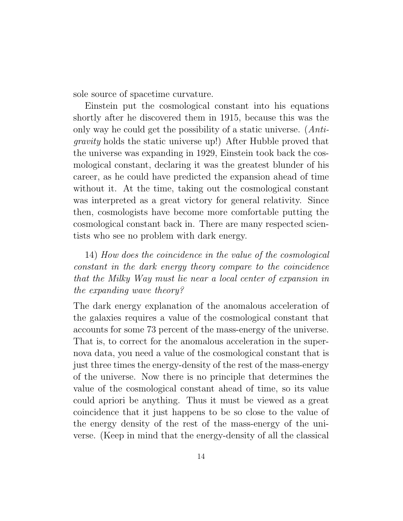sole source of spacetime curvature.

Einstein put the cosmological constant into his equations shortly after he discovered them in 1915, because this was the only way he could get the possibility of a static universe. (*Antigravity* holds the static universe up!) After Hubble proved that the universe was expanding in 1929, Einstein took back the cosmological constant, declaring it was the greatest blunder of his career, as he could have predicted the expansion ahead of time without it. At the time, taking out the cosmological constant was interpreted as a great victory for general relativity. Since then, cosmologists have become more comfortable putting the cosmological constant back in. There are many respected scientists who see no problem with dark energy.

14) *How does the coincidence in the value of the cosmological constant in the dark energy theory compare to the coincidence that the Milky Way must lie near a local center of expansion in the expanding wave theory?*

The dark energy explanation of the anomalous acceleration of the galaxies requires a value of the cosmological constant that accounts for some 73 percent of the mass-energy of the universe. That is, to correct for the anomalous acceleration in the supernova data, you need a value of the cosmological constant that is just three times the energy-density of the rest of the mass-energy of the universe. Now there is no principle that determines the value of the cosmological constant ahead of time, so its value could apriori be anything. Thus it must be viewed as a great coincidence that it just happens to be so close to the value of the energy density of the rest of the mass-energy of the universe. (Keep in mind that the energy-density of all the classical